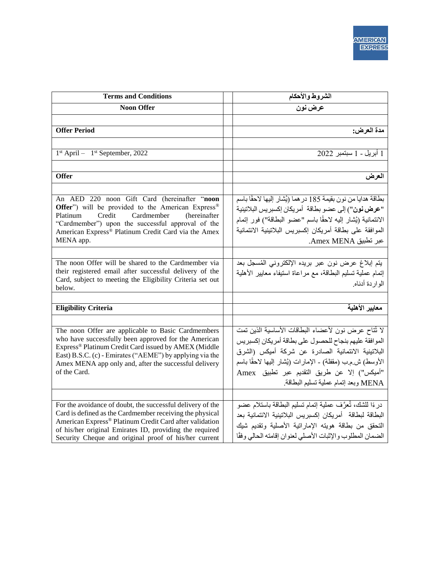| <b>Terms and Conditions</b>                                                                                                                                                                                                                                                                                         | الشروط والأحكام                                                                                                                                                                                                                                                                                                        |
|---------------------------------------------------------------------------------------------------------------------------------------------------------------------------------------------------------------------------------------------------------------------------------------------------------------------|------------------------------------------------------------------------------------------------------------------------------------------------------------------------------------------------------------------------------------------------------------------------------------------------------------------------|
| <b>Noon Offer</b>                                                                                                                                                                                                                                                                                                   | عرض نون                                                                                                                                                                                                                                                                                                                |
|                                                                                                                                                                                                                                                                                                                     |                                                                                                                                                                                                                                                                                                                        |
| <b>Offer Period</b>                                                                                                                                                                                                                                                                                                 | مدة العرض:                                                                                                                                                                                                                                                                                                             |
|                                                                                                                                                                                                                                                                                                                     |                                                                                                                                                                                                                                                                                                                        |
| $1st$ April – $1st$ September, 2022                                                                                                                                                                                                                                                                                 | 1 أبريل - 1 سبتمبر 2022                                                                                                                                                                                                                                                                                                |
|                                                                                                                                                                                                                                                                                                                     |                                                                                                                                                                                                                                                                                                                        |
| <b>Offer</b>                                                                                                                                                                                                                                                                                                        | العرض                                                                                                                                                                                                                                                                                                                  |
|                                                                                                                                                                                                                                                                                                                     |                                                                                                                                                                                                                                                                                                                        |
| An AED 220 noon Gift Card (hereinafter "noon<br>Offer") will be provided to the American Express®<br>Platinum<br>Credit<br>Cardmember<br>(hereinafter)<br>"Cardmember") upon the successful approval of the<br>American Express® Platinum Credit Card via the Amex                                                  | بطاقة هدايا من نون بقيمة 185 در هما (يُشار إليها لاحقًا باسم<br>"عرض نون") إلى عضو بطاقة  أمريكان إكسبريس البلاتينية<br>الائتمانية (يُشار إليه لاحقًا باسم "عضو البطاقة") فور إتمام<br>الموافقة على بطاقة أمريكان إكسبريس البلاتينية الائتمانية                                                                        |
| MENA app.                                                                                                                                                                                                                                                                                                           | عبر تطبيق Amex MENA.                                                                                                                                                                                                                                                                                                   |
| The noon Offer will be shared to the Cardmember via<br>their registered email after successful delivery of the<br>Card, subject to meeting the Eligibility Criteria set out<br>below.                                                                                                                               | يتم إبلاغ عرض نون عبر بريده الإلكتروني المُسجل بعد<br>إنمام عملية تسليم البطاقة، مع مراعاة استيفاء معايير الأهلية<br>الو ار دة أدناه.                                                                                                                                                                                  |
| <b>Eligibility Criteria</b>                                                                                                                                                                                                                                                                                         | معايير الأهلية                                                                                                                                                                                                                                                                                                         |
|                                                                                                                                                                                                                                                                                                                     |                                                                                                                                                                                                                                                                                                                        |
| The noon Offer are applicable to Basic Cardmembers<br>who have successfully been approved for the American<br>Express <sup>®</sup> Platinum Credit Card issued by AMEX (Middle<br>East) B.S.C. (c) - Emirates ("AEME") by applying via the<br>Amex MENA app only and, after the successful delivery<br>of the Card. | لا نُتاح عرض نون لأعضاء البطاقات الأساسية الذين تمت<br>الموافقة عليهم بنجاح للحصول على بطاقة أمريكان إكسبريس<br>البلاتينية الائتمانية الصادرة عن شركة أميكس (الشرق<br>الأوسط) ش.م.ب (مقفلة) - الإمارات (يُشار إليها لاحقًا باسم<br>"أميكس") إلا عن طريق التقديم عبر تطبيق Amex<br>MENA وبعد إتمام عملية تسليم البطاقة. |
|                                                                                                                                                                                                                                                                                                                     |                                                                                                                                                                                                                                                                                                                        |
| For the avoidance of doubt, the successful delivery of the<br>Card is defined as the Cardmember receiving the physical<br>American Express® Platinum Credit Card after validation<br>of his/her original Emirates ID, providing the required<br>Security Cheque and original proof of his/her current               | درءًا للشك، تُعرَّف عملية إتمام تسليم البطاقة باستلام عضو<br>البطاقة لبطاقة أمر يكان إكسبر يس البلاتينية الائتمانية بعد<br>التحقق من بطاقة هويته الإماراتية الأصلية وتقديم شيك<br>الضمان المطلوب والإثبات الأصلى لعنوان إقامته الحالي وفقًا                                                                            |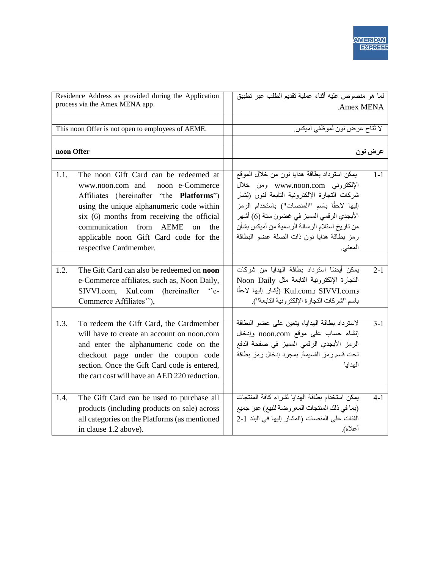| Residence Address as provided during the Application |                                                     | لما هو منصوص عليه أثناء عملية تقديم الطلب عبر تطبيق |         |
|------------------------------------------------------|-----------------------------------------------------|-----------------------------------------------------|---------|
|                                                      | process via the Amex MENA app.                      | .Amex MENA                                          |         |
| This noon Offer is not open to employees of AEME.    |                                                     | لا نُتاح عرض نون لموظفي أميكس.                      |         |
|                                                      |                                                     |                                                     |         |
| noon Offer                                           |                                                     |                                                     | عرض نون |
|                                                      |                                                     |                                                     |         |
| 1.1.                                                 | The noon Gift Card can be redeemed at               | يمكن استرداد بطاقة هدايا نون من خلال الموقع         | $1-1$   |
|                                                      | www.noon.com and<br>noon e-Commerce                 | الإلكتروني www.noon.com ومن خلال                    |         |
|                                                      | Affiliates (hereinafter "the <b>Platforms</b> ")    | شركات التجارة الإلكترونية التابعة لنون (يُشار       |         |
|                                                      | using the unique alphanumeric code within           | إليها لاحقًا باسم "المنصات") باستخدام الرمز         |         |
|                                                      | six (6) months from receiving the official          | الأبجدي الرقمي المميز في غضون ستة (6) أشهر          |         |
|                                                      | from<br>communication<br>AEME<br>on<br>the          | من تاريخ استلام الرسالة الرسمية من أميكس بشأن       |         |
|                                                      | applicable noon Gift Card code for the              | رمز بطاقة هدايا نون ذات الصلة عضو البطاقة           |         |
|                                                      | respective Cardmember.                              | المعنى.                                             |         |
|                                                      |                                                     |                                                     |         |
| 1.2.                                                 | The Gift Card can also be redeemed on <b>noon</b>   | يمكن أيضًا استرداد بطاقة الهدايا من شركات           | $2 - 1$ |
|                                                      | e-Commerce affiliates, such as, Noon Daily,         | النجارة الإلكترونية التابعة مثل Noon Daily          |         |
|                                                      | SIVVI.com,<br>Kul.com<br>(hereinafter<br>$\cdot$ e- | وKul.com وKul.com (يُشار إليها لاحقًا               |         |
|                                                      | Commerce Affiliates"),                              | باسم "شركات التجارة الإلكترونية التابعة").          |         |
|                                                      |                                                     |                                                     |         |
| 1.3.                                                 | To redeem the Gift Card, the Cardmember             | لاسترداد بطاقة الهدايا، يتعين على عضو البطاقة       | $3-1$   |
|                                                      | will have to create an account on noon.com          | إنشاء حساب على موقع noon.com وإدخال                 |         |
|                                                      | and enter the alphanumeric code on the              | الرمز الأبجدي الرقمي المميز في صفحة الدفع           |         |
|                                                      | checkout page under the coupon code                 | تحت قسم رمز القسيمة. بمجرد إدخال رمز بطاقة          |         |
|                                                      | section. Once the Gift Card code is entered,        | الهدايا                                             |         |
|                                                      | the cart cost will have an AED 220 reduction.       |                                                     |         |
|                                                      |                                                     |                                                     |         |
| 1.4.                                                 | The Gift Card can be used to purchase all           | يمكن استخدام بطاقة الهدايا لشراء كافة المنتجات      | $4 - 1$ |
|                                                      | products (including products on sale) across        | (بما في ذلك المنتجات المعروضة للبيع) عبر جميع       |         |
|                                                      | all categories on the Platforms (as mentioned       | الفئات على المنصات (المشار إليها في البند 1-2       |         |
|                                                      | in clause 1.2 above).                               | أعلاه).                                             |         |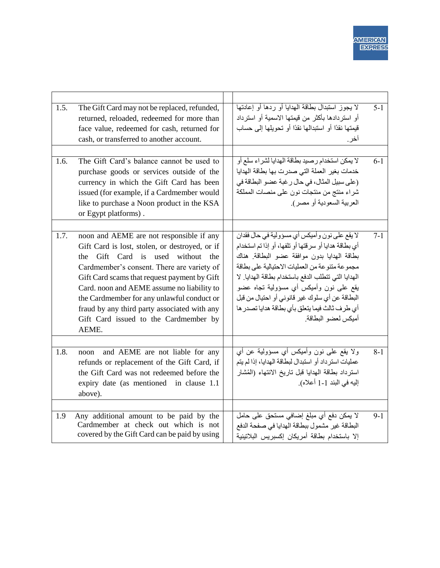| 1.5. | The Gift Card may not be replaced, refunded,<br>returned, reloaded, redeemed for more than<br>face value, redeemed for cash, returned for<br>cash, or transferred to another account.                                                                                                                                                                                                                                       | لا يجوز استبدال بطاقة الهدايا أو ردها أو إعادتها<br>أو استر دادها بأكثر ًمن قيمتها الاسمية أو استر داد<br>قيمتها نقدًا أو استبدالها نقدًا أو تحويلها إلى حساب<br>اخر .                                                                                                                                                                                                                                                             | $5 - 1$ |
|------|-----------------------------------------------------------------------------------------------------------------------------------------------------------------------------------------------------------------------------------------------------------------------------------------------------------------------------------------------------------------------------------------------------------------------------|------------------------------------------------------------------------------------------------------------------------------------------------------------------------------------------------------------------------------------------------------------------------------------------------------------------------------------------------------------------------------------------------------------------------------------|---------|
| 1.6. | The Gift Card's balance cannot be used to<br>purchase goods or services outside of the<br>currency in which the Gift Card has been<br>issued (for example, if a Cardmember would<br>like to purchase a Noon product in the KSA<br>or Egypt platforms).                                                                                                                                                                      | لا يمكن استخدام رصيد بطاقة الهدايا لشراء سلع أو<br>خدمات بغير العملة التي صدرت بها بطاقة الهدايا<br>(على سبيل المثال، في حال رغبة عضو البطاقة في<br>شراء منتج من منتجات نون على منصات المملكة<br>العربية السعودية أو مصر).                                                                                                                                                                                                         | $6 - 1$ |
| 1.7. | noon and AEME are not responsible if any<br>Gift Card is lost, stolen, or destroyed, or if<br>the Gift Card is used without the<br>Cardmember's consent. There are variety of<br>Gift Card scams that request payment by Gift<br>Card. noon and AEME assume no liability to<br>the Cardmember for any unlawful conduct or<br>fraud by any third party associated with any<br>Gift Card issued to the Cardmember by<br>AEME. | لا يقع علىي نون و أميكس أي مسؤولية في حال فقدان<br>أي بطاقة هدايا أو سرقتها أو تلفها، أو إذا تم استخدام<br>بطاقة الهدايا بدون موافقة عضو البطاقة هناك<br>مجموعة متنوعة من العمليات الاحتيالية على بطاقة<br>الهدايا التي تتطلب الدفع باستخدام بطاقة الهدايا. لا<br>يقع على نون وأميكس أي مسؤولية تجاه عضو<br>البطاقة عن أي سلوك غير قانوني أو احتيال من قبل<br>أى طرف ثالث فيما يتعلق بأى بطاقة هدايا تصدر ها<br>أمبكس لعضو البطاقة | $7 - 1$ |
| 1.8. | and AEME are not liable for any<br>noon<br>refunds or replacement of the Gift Card, if<br>the Gift Card was not redeemed before the<br>expiry date (as mentioned in clause 1.1<br>above).                                                                                                                                                                                                                                   | ولا يقع على نون وأميكس أي مسؤولية عن أي<br>عمليات استرداد أو استبدال لبطاقة الهدايا، إذا لم يتم<br>استرداد بطاقة الهدايا قبل تاريخ الانتهاء (المُشار<br>إليه في البند 1-1 أعلاه).                                                                                                                                                                                                                                                  | $8 - 1$ |
| 1.9  | Any additional amount to be paid by the<br>Cardmember at check out which is not<br>covered by the Gift Card can be paid by using                                                                                                                                                                                                                                                                                            | لا يمكن دفع أي مبلغ إضافي مستحق على حامل<br>البطاقة غير مشمول ببطاقة الهدايا في صفحة الدفع<br>إلا باستخدام بطاقة أمريكان إكسبريس البلاتينية                                                                                                                                                                                                                                                                                        | $9-1$   |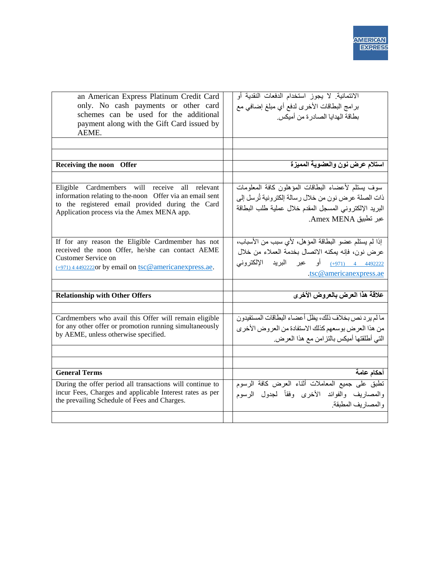| an American Express Platinum Credit Card<br>only. No cash payments or other card<br>schemes can be used for the additional<br>payment along with the Gift Card issued by<br>AEME.                                     | الائتمانية. لا يجوز استخدام الدفعات النقدية أو<br>برامج البطاقات الأخرى لدفع أي مبلغ إضافي مع<br>بطاقة الهدايا الصادرة من أميكس.                                                             |
|-----------------------------------------------------------------------------------------------------------------------------------------------------------------------------------------------------------------------|----------------------------------------------------------------------------------------------------------------------------------------------------------------------------------------------|
|                                                                                                                                                                                                                       |                                                                                                                                                                                              |
|                                                                                                                                                                                                                       |                                                                                                                                                                                              |
| Receiving the noon Offer                                                                                                                                                                                              | استلام عرض نون والعضوية المميزة                                                                                                                                                              |
|                                                                                                                                                                                                                       |                                                                                                                                                                                              |
| will<br>Eligible Cardmembers<br>receive all<br>relevant<br>information relating to the noon Offer via an email sent<br>to the registered email provided during the Card<br>Application process via the Amex MENA app. | سوف يستلع لأعضاء البطاقات المؤهلون كافة المعلومات<br>ذات الصلة عرض نون من خلال رسالة إلكترونية تُرسل إلى<br>البريد الإلكتروني المسجل المقدم خلال عملية طلب البطاقة<br>عبر تطبيق Amex MENA.   |
| If for any reason the Eligible Cardmember has not<br>received the noon Offer, he/she can contact AEME<br>Customer Service on<br>$(+971)$ 4 44922220r by email on tsc@americanexpress.ae.                              | إذا لم يستلم عضو البطاقة المؤهل، لأى سبب من الأسباب،<br>عرض نون، فإنه يمكنه الاتصال بخدمة العملاء من خلال<br>4492222 4 <sub>(1971)</sub> أو عبر البريد الإلكتروني<br>.tsc@americanexpress.ae |
| <b>Relationship with Other Offers</b>                                                                                                                                                                                 | علاقة هذا العرض بالعروض الأخرى                                                                                                                                                               |
|                                                                                                                                                                                                                       |                                                                                                                                                                                              |
| Cardmembers who avail this Offer will remain eligible<br>for any other offer or promotion running simultaneously<br>by AEME, unless otherwise specified.                                                              | ما لم يرد نص بخلاف ذلك، يظل أعضاء البطاقات المستفيدون<br>من هذا العرض بوسعهم كذلك الاستفادة من العروض الأخرى<br>التي أطلقتها أميكس بالتزامن مع هذا العرض.                                    |
|                                                                                                                                                                                                                       |                                                                                                                                                                                              |
| <b>General Terms</b>                                                                                                                                                                                                  | أحكام عامة                                                                                                                                                                                   |
| During the offer period all transactions will continue to<br>incur Fees, Charges and applicable Interest rates as per<br>the prevailing Schedule of Fees and Charges.                                                 | تطبق على جميع المعاملات أثناء العرض كافة الرسوم<br>والمصاريف والفوائد الأخرى وفقأ لجدول الرسوم<br>والمصاريف المطبقة.                                                                         |
|                                                                                                                                                                                                                       |                                                                                                                                                                                              |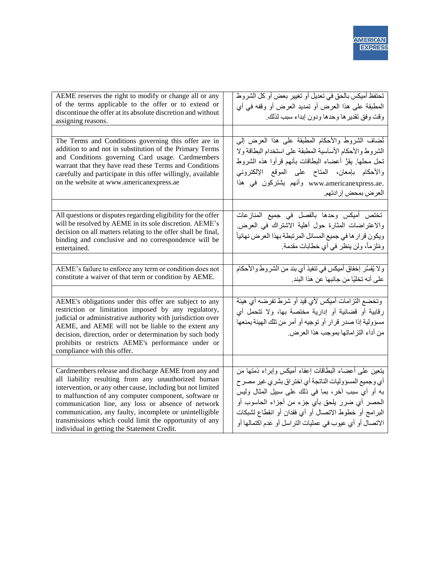| AEME reserves the right to modify or change all or any<br>of the terms applicable to the offer or to extend or<br>discontinue the offer at its absolute discretion and without<br>assigning reasons.                                                                                                                                                                                                                                                         | تحتفظ أميكس بالحق في تعديل أو تغيير بعض أو كل الشروط<br>المطبقة على هذا العرض أو تمديد العرض أو وقفه في أي<br>وقت وفق تقدير ها وحدها ودون إبداء سبب لذلك.                                                                                                                                                                             |
|--------------------------------------------------------------------------------------------------------------------------------------------------------------------------------------------------------------------------------------------------------------------------------------------------------------------------------------------------------------------------------------------------------------------------------------------------------------|---------------------------------------------------------------------------------------------------------------------------------------------------------------------------------------------------------------------------------------------------------------------------------------------------------------------------------------|
|                                                                                                                                                                                                                                                                                                                                                                                                                                                              |                                                                                                                                                                                                                                                                                                                                       |
| The Terms and Conditions governing this offer are in<br>addition to and not in substitution of the Primary Terms<br>and Conditions governing Card usage. Cardmembers<br>warrant that they have read these Terms and Conditions<br>carefully and participate in this offer willingly, available<br>on the website at www.americanexpress.ae                                                                                                                   | نُضلف الشروط والأحكام المطبقة على هذا العرض إلى<br>الشروط والأحكام الأساسية المطبقة على استخدام البطاقة ولا<br>نحل محلها. يقرُّ أعضاء البطاقات بأنهم قرأوا هذه الشروط<br>والأحكام بإمعان، المتاح على الموقع الإلكتروني<br>.www.americanexpress.ae وأنهم يشتركون في هذا<br>العرض بمحض إرادتهم.                                         |
|                                                                                                                                                                                                                                                                                                                                                                                                                                                              |                                                                                                                                                                                                                                                                                                                                       |
| All questions or disputes regarding eligibility for the offer<br>will be resolved by AEME in its sole discretion. AEME's<br>decision on all matters relating to the offer shall be final,<br>binding and conclusive and no correspondence will be<br>entertained.                                                                                                                                                                                            | تختص أميكس وحدها بالفصل في جميع المنازعات<br>والاعتراضات المثارة حول أهلية الاشتراك في العرض<br>ويكون قرار ها في جميع المسائل المرتبطة بهذا العرض نهائياً<br>ومُلزِماً، ولن ينظر في أي خطابات مقدمة.                                                                                                                                  |
|                                                                                                                                                                                                                                                                                                                                                                                                                                                              |                                                                                                                                                                                                                                                                                                                                       |
| AEME's failure to enforce any term or condition does not<br>constitute a waiver of that term or condition by AEME.                                                                                                                                                                                                                                                                                                                                           | ولا يُفسَّر إخفاق أميكس في تنفيذ أي بند من الشروط والأحكام<br>على أنه تخليًا من جانبها عن هذا البند.                                                                                                                                                                                                                                  |
|                                                                                                                                                                                                                                                                                                                                                                                                                                                              |                                                                                                                                                                                                                                                                                                                                       |
| AEME's obligations under this offer are subject to any<br>restriction or limitation imposed by any regulatory,<br>judicial or administrative authority with jurisdiction over<br>AEME, and AEME will not be liable to the extent any<br>decision, direction, order or determination by such body<br>prohibits or restricts AEME's performance under or<br>compliance with this offer.                                                                        | وتخضع التزامات أميكس لأي قيد أو شرط تفرضه أي هيئة<br>رقابية أو قضائية أو إدارية مختصة بها، ولا تتحمل أي<br>مسؤولية إذا صدر قرار أو توجيه أو أمر من تلك الهيئة يمنعها<br>من أداء النّز إماتها بموجب هذا العرض.                                                                                                                         |
|                                                                                                                                                                                                                                                                                                                                                                                                                                                              |                                                                                                                                                                                                                                                                                                                                       |
| Cardmembers release and discharge AEME from any and<br>all liability resulting from any unauthorized human<br>intervention, or any other cause, including but not limited<br>to malfunction of any computer component, software or<br>communication line, any loss or absence of network<br>communication, any faulty, incomplete or unintelligible<br>transmissions which could limit the opportunity of any<br>individual in getting the Statement Credit. | بتعين على أعضاء البطاقات إعفاء أميكس وإبراء ذمتها من<br>أي وجميع المسؤوليات الناتجة أي اختر اق بشري غير مصرح<br>به أو أي سبب آخر، بما في ذلك على سبيل المثال وليس<br>الحصر أي ضرر يلحق بأي جزء من أجزاء الحاسوب أو<br>البرامج أو خطوط الاتصال أو أي فقدان أو انقطاع لشبكات<br>الاتصال أو أي عيوب في عمليات التراسل أو عدم اكتمالها أو |